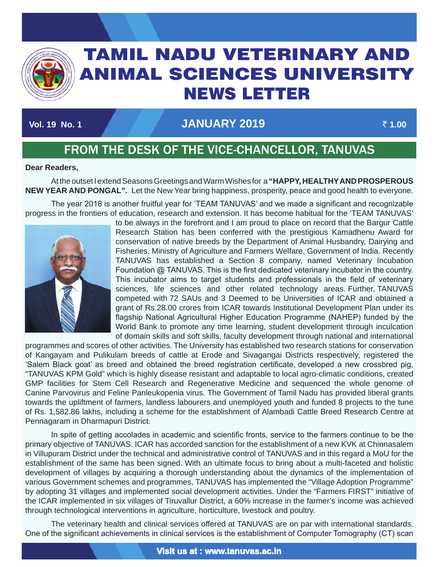

# TAMIL NADU VETERINARY AND ANIMAL SCIENCES UNIVERSITY News Letter

## **Vol. 19 No. 1 January 2019** ` **1.00**

TAMIL NADU VETERINARY AND ANIMAL SCIENCES UNIVERSITY OF A SECOND AND ANIMAL SCIENCES UNIVERSITY OF A SECOND AN

# FROM THE DESK OF THE VICE-CHANCELLOR, TANUVAS

#### **Dear Readers,**

At the outset I extend Seasons Greetings and Warm Wishes for a **"HAPPY, HEALTHYAND PROSPEROUS NEW YEAR AND PONGAL".** Let the New Year bring happiness, prosperity, peace and good health to everyone.

The year 2018 is another fruitful year for 'TEAM TANUVAS' and we made a significant and recognizable progress in the frontiers of education, research and extension. It has become habitual for the 'TEAM TANUVAS'



to be always in the forefront and I am proud to place on record that the Bargur Cattle Research Station has been conferred with the prestigious Kamadhenu Award for conservation of native breeds by the Department of Animal Husbandry, Dairying and Fisheries, Ministry of Agriculture and Farmers Welfare, Government of India. Recently TANUVAS has established a Section 8 company, named Veterinary Incubation Foundation @ TANUVAS. This is the first dedicated veterinary incubator in the country. This incubator aims to target students and professionals in the field of veterinary sciences, life sciences and other related technology areas. Further, TANUVAS competed with 72 SAUs and 3 Deemed to be Universities of ICAR and obtained a grant of Rs.28.00 crores from ICAR towards Institutional Development Plan under its flagship National Agricultural Higher Education Programme (NAHEP) funded by the World Bank to promote any time learning, student development through inculcation of domain skills and soft skills, faculty development through national and international

programmes and scores of other activities. The University has established two research stations for conservation of Kangayam and Pulikulam breeds of cattle at Erode and Sivagangai Districts respectively, registered the 'Salem Black goat' as breed and obtained the breed registration certificate, developed a new crossbred pig, "TANUVAS KPM Gold" which is highly disease resistant and adaptable to local agro-climatic conditions, created GMP facilities for Stem Cell Research and Regenerative Medicine and sequenced the whole genome of Canine Parvovirus and Feline Panleukopenia virus. The Government of Tamil Nadu has provided liberal grants towards the upliftment of farmers, landless labourers and unemployed youth and funded 8 projects to the tune of Rs. 1,582.86 lakhs, including a scheme for the establishment of Alambadi Cattle Breed Research Centre at Pennagaram in Dharmapuri District.

In spite of getting accolades in academic and scientific fronts, service to the farmers continue to be the primary objective of TANUVAS. ICAR has accorded sanction for the establishment of a new KVK at Chinnasalem in Villupuram District under the technical and administrative control of TANUVAS and in this regard a MoU for the establishment of the same has been signed. With an ultimate focus to bring about a multi-faceted and holistic development of villages by acquiring a thorough understanding about the dynamics of the implementation of various Government schemes and programmes, TANUVAS has implemented the "Village Adoption Programme" by adopting 31 villages and implemented social development activities. Under the "Farmers FIRST" initiative of the ICAR implemented in six villages of Tiruvallur District, a 60% increase in the farmer's income was achieved through technological interventions in agriculture, horticulture, livestock and poultry.

The veterinary health and clinical services offered at TANUVAS are on par with international standards. One of the significant achievements in clinical services is the establishment of Computer Tomography (CT) scan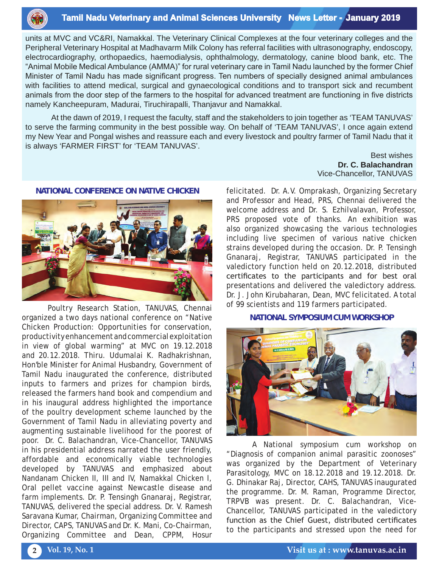

#### **Tamil Nadu Veterinary and Animal Sciences University News Letter - January 2019**

units at MVC and VC&RI, Namakkal. The Veterinary Clinical Complexes at the four veterinary colleges and the Peripheral Veterinary Hospital at Madhavarm Milk Colony has referral facilities with ultrasonography, endoscopy, electrocardiography, orthopaedics, haemodialysis, ophthalmology, dermatology, canine blood bank, etc. The "Animal Mobile Medical Ambulance (AMMA)" for rural veterinary care in Tamil Nadu launched by the former Chief Minister of Tamil Nadu has made significant progress. Ten numbers of specially designed animal ambulances with facilities to attend medical, surgical and gynaecological conditions and to transport sick and recumbent animals from the door step of the farmers to the hospital for advanced treatment are functioning in five districts namely Kancheepuram, Madurai, Tiruchirapalli, Thanjavur and Namakkal.

At the dawn of 2019, I request the faculty, staff and the stakeholders to join together as 'TEAM TANUVAS' to serve the farming community in the best possible way. On behalf of 'TEAM TANUVAS', I once again extend my New Year and Pongal wishes and reassure each and every livestock and poultry farmer of Tamil Nadu that it is always 'FARMER FIRST' for 'TEAM TANUVAS'.

> Best wishes **Dr. C. Balachandran** Vice-Chancellor, TANUVAS



Poultry Research Station, TANUVAS, Chennai organized a two days national conference on "Native Chicken Production: Opportunities for conservation, productivity enhancement and commercial exploitation in view of global warming" at MVC on 19.12.2018 and 20.12.2018. Thiru. Udumalai K. Radhakrishnan, Hon'ble Minister for Animal Husbandry, Government of Tamil Nadu inaugurated the conference, distributed inputs to farmers and prizes for champion birds, released the farmers hand book and compendium and in his inaugural address highlighted the importance of the poultry development scheme launched by the Government of Tamil Nadu in alleviating poverty and augmenting sustainable livelihood for the poorest of poor. Dr. C. Balachandran, Vice-Chancellor, TANUVAS in his presidential address narrated the user friendly, affordable and economically viable technologies developed by TANUVAS and emphasized about Nandanam Chicken II, III and IV, Namakkal Chicken I, Oral pellet vaccine against Newcastle disease and farm implements. Dr. P. Tensingh Gnanaraj, Registrar, TANUVAS, delivered the special address. Dr. V. Ramesh Saravana Kumar, Chairman, Organizing Committee and Director, CAPS, TANUVAS and Dr. K. Mani, Co-Chairman, Organizing Committee and Dean, CPPM, Hosur

felicitated. Dr. A.V. Omprakash, Organizing Secretary and Professor and Head, PRS, Chennai delivered the welcome address and Dr. S. Ezhilvalavan, Professor, PRS proposed vote of thanks. An exhibition was also organized showcasing the various technologies including live specimen of various native chicken strains developed during the occasion. Dr. P. Tensingh Gnanaraj, Registrar, TANUVAS participated in the valedictory function held on 20.12.2018, distributed certificates to the participants and for best oral presentations and delivered the valedictory address. Dr. J. John Kirubaharan, Dean, MVC felicitated. A total of 99 scientists and 119 farmers participated.

#### **NATIONAL SYMPOSIUM CUM WORKSHOP**



A National symposium cum workshop on "Diagnosis of companion animal parasitic zoonoses" was organized by the Department of Veterinary Parasitology, MVC on 18.12.2018 and 19.12.2018. Dr. G. Dhinakar Raj, Director, CAHS, TANUVAS inaugurated the programme. Dr. M. Raman, Programme Director, TRPVB was present. Dr. C. Balachandran, Vice-Chancellor, TANUVAS participated in the valedictory function as the Chief Guest, distributed certificates to the participants and stressed upon the need for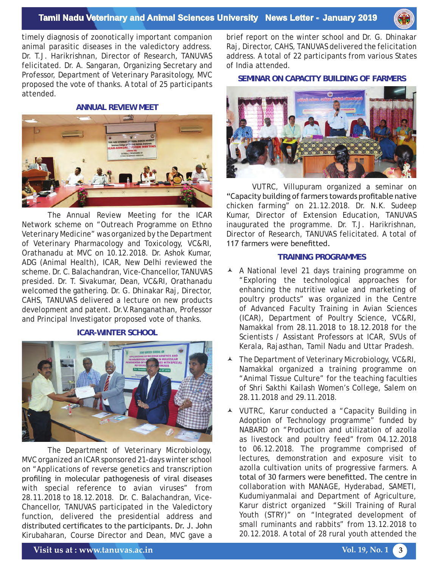

timely diagnosis of zoonotically important companion animal parasitic diseases in the valedictory address. Dr. T.J. Harikrishnan, Director of Research, TANUVAS felicitated. Dr. A. Sangaran, Organizing Secretary and Professor, Department of Veterinary Parasitology, MVC proposed the vote of thanks. A total of 25 participants attended.

#### **ANNUAL REVIEW MEET**



The Annual Review Meeting for the ICAR Network scheme on "Outreach Programme on Ethno Veterinary Medicine" was organized by the Department of Veterinary Pharmacology and Toxicology, VC&RI, Orathanadu at MVC on 10.12.2018. Dr. Ashok Kumar, ADG (Animal Health), ICAR, New Delhi reviewed the scheme. Dr. C. Balachandran, Vice-Chancellor, TANUVAS presided. Dr. T. Sivakumar, Dean, VC&RI, Orathanadu welcomed the gathering. Dr. G. Dhinakar Raj, Director, CAHS, TANUVAS delivered a lecture on new products development and patent. Dr.V.Ranganathan, Professor and Principal Investigator proposed vote of thanks.

#### **ICAR-WINTER SCHOOL**



The Department of Veterinary Microbiology, MVC organized an ICAR sponsored 21-days winter school on "Applications of reverse genetics and transcription profiling in molecular pathogenesis of viral diseases with special reference to avian viruses" from 28.11.2018 to 18.12.2018. Dr. C. Balachandran, Vice-Chancellor, TANUVAS participated in the Valedictory function, delivered the presidential address and distributed certificates to the participants. Dr. J. John Kirubaharan, Course Director and Dean, MVC gave a

brief report on the winter school and Dr. G. Dhinakar Raj, Director, CAHS, TANUVAS delivered the felicitation address. A total of 22 participants from various States of India attended.

#### **SEMINAR ON CAPACITY BUILDING OF FARMERS**



VUTRC, Villupuram organized a seminar on "Capacity building of farmers towards profitable native chicken farming" on 21.12.2018. Dr. N.K. Sudeep Kumar, Director of Extension Education, TANUVAS inaugurated the programme. Dr. T.J. Harikrishnan, Director of Research, TANUVAS felicitated. A total of 117 farmers were benefitted.

#### **TRAINING PROGRAMMES**

- A A National level 21 days training programme on "Exploring the technological approaches for enhancing the nutritive value and marketing of poultry products" was organized in the Centre of Advanced Faculty Training in Avian Sciences (ICAR), Department of Poultry Science, VC&RI, Namakkal from 28.11.2018 to 18.12.2018 for the Scientists / Assistant Professors at ICAR, SVUs of Kerala, Rajasthan, Tamil Nadu and Uttar Pradesh.
- The Department of Veterinary Microbiology, VC&RI, Namakkal organized a training programme on "Animal Tissue Culture" for the teaching faculties of Shri Sakthi Kailash Women's College, Salem on 28.11.2018 and 29.11.2018.
- VUTRC, Karur conducted a "Capacity Building in Adoption of Technology programme" funded by NABARD on "Production and utilization of azolla as livestock and poultry feed" from 04.12.2018 to 06.12.2018. The programme comprised of lectures, demonstration and exposure visit to azolla cultivation units of progressive farmers. A total of 30 farmers were benefitted. The centre in collaboration with MANAGE, Hyderabad, SAMETI, Kudumiyanmalai and Department of Agriculture, Karur district organized "Skill Training of Rural Youth (STRY)" on "Integrated development of small ruminants and rabbits" from 13.12.2018 to 20.12.2018. A total of 28 rural youth attended the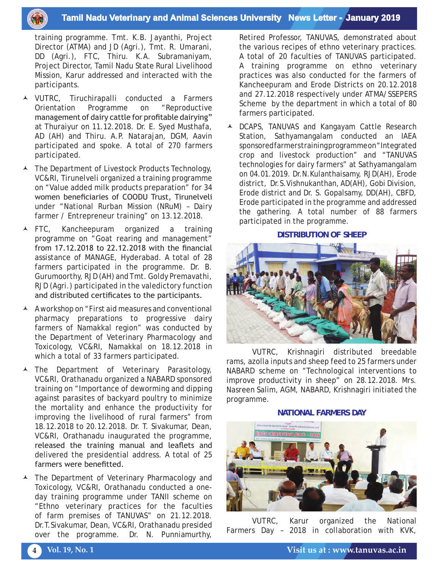### **Tamil Nadu Veterinary and Animal Sciences University News Letter - January 2019**

training programme. Tmt. K.B. Jayanthi, Project Director (ATMA) and JD (Agri.), Tmt. R. Umarani, DD (Agri.), FTC, Thiru. K.A. Subramaniyam, Project Director, Tamil Nadu State Rural Livelihood Mission, Karur addressed and interacted with the participants.

- VUTRC, Tiruchirapalli conducted a Farmers Orientation Programme on "Reproductive management of dairy cattle for profitable dairying" at Thuraiyur on 11.12.2018. Dr. E. Syed Musthafa, AD (AH) and Thiru. A.P. Natarajan, DGM, Aavin participated and spoke. A total of 270 farmers participated.
- $\blacktriangle$  The Department of Livestock Products Technology, VC&RI, Tirunelveli organized a training programme on "Value added milk products preparation" for 34 women beneficiaries of COODU Trust, Tirunelveli under "National Rurban Mission (NRuM) – Dairy farmer / Entrepreneur training" on 13.12.2018.
- FTC, Kancheepuram organized a training programme on "Goat rearing and management" from 17.12.2018 to 22.12.2018 with the financial assistance of MANAGE, Hyderabad. A total of 28 farmers participated in the programme. Dr. B. Gurumoorthy, RJD (AH) and Tmt. Goldy Premavathi, RJD (Agri.) participated in the valedictory function and distributed certificates to the participants.
- A workshop on "First aid measures and conventional pharmacy preparations to progressive dairy farmers of Namakkal region" was conducted by the Department of Veterinary Pharmacology and Toxicology, VC&RI, Namakkal on 18.12.2018 in which a total of 33 farmers participated.
- The Department of Veterinary Parasitology, VC&RI, Orathanadu organized a NABARD sponsored training on "Importance of deworming and dipping against parasites of backyard poultry to minimize the mortality and enhance the productivity for improving the livelihood of rural farmers" from 18.12.2018 to 20.12.2018. Dr. T. Sivakumar, Dean, VC&RI, Orathanadu inaugurated the programme, released the training manual and leaflets and delivered the presidential address. A total of 25 farmers were benefitted.
- The Department of Veterinary Pharmacology and Toxicology, VC&RI, Orathanadu conducted a oneday training programme under TANII scheme on "Ethno veterinary practices for the faculties of farm premises of TANUVAS" on 21.12.2018. Dr.T.Sivakumar, Dean, VC&RI, Orathanadu presided over the programme. Dr. N. Punniamurthy,

Retired Professor, TANUVAS, demonstrated about the various recipes of ethno veterinary practices. A total of 20 faculties of TANUVAS participated. A training programme on ethno veterinary practices was also conducted for the farmers of Kancheepuram and Erode Districts on 20.12.2018 and 27.12.2018 respectively under ATMA/SSEPERS Scheme by the department in which a total of 80 farmers participated.

▲ DCAPS, TANUVAS and Kangayam Cattle Research Station, Sathyamangalam conducted an IAEA sponsored farmers training programme on "Integrated crop and livestock production" and "TANUVAS technologies for dairy farmers" at Sathyamangalam on 04.01.2019. Dr.N.Kulanthaisamy, RJD(AH), Erode district, Dr.S.Vishnukanthan, AD(AH), Gobi Division, Erode district and Dr. S. Gopalsamy, DD(AH), CBFD, Erode participated in the programme and addressed the gathering. A total number of 88 farmers participated in the programme.

**DISTRIBUTION OF SHEEP**



VUTRC, Krishnagiri distributed breedable rams, azolla inputs and sheep feed to 25 farmers under NABARD scheme on "Technological interventions to improve productivity in sheep" on 28.12.2018. Mrs. Nasreen Salim, AGM, NABARD, Krishnagiri initiated the programme.

**NATIONAL FARMERS DAY**



VUTRC, Karur organized the National Farmers Day – 2018 in collaboration with KVK,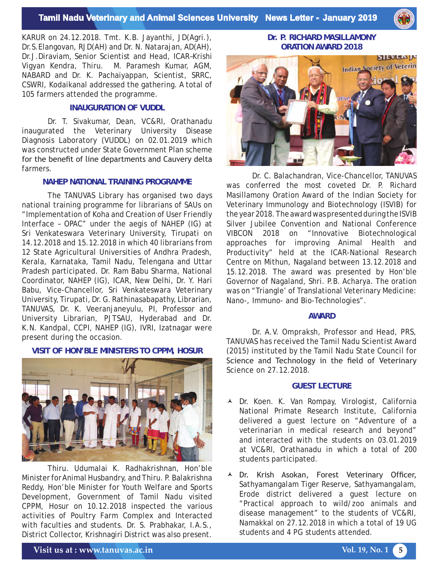

KARUR on 24.12.2018. Tmt. K.B. Jayanthi, JD(Agri.), Dr.S.Elangovan, RJD(AH) and Dr. N. Natarajan, AD(AH), Dr.J.Diraviam, Senior Scientist and Head, ICAR–Krishi Vigyan Kendra, Thiru. M. Paramesh Kumar, AGM, NABARD and Dr. K. Pachaiyappan, Scientist, SRRC, CSWRI, Kodaikanal addressed the gathering. A total of 105 farmers attended the programme.

#### **INAUGURATION OF VUDDL**

Dr. T. Sivakumar, Dean, VC&RI, Orathanadu inaugurated the Veterinary University Disease Diagnosis Laboratory (VUDDL) on 02.01.2019 which was constructed under State Government Plan scheme for the benefit of line departments and Cauvery delta farmers.

#### **NAHEP NATIONAL TRAINING PROGRAMME**

The TANUVAS Library has organised two days national training programme for librarians of SAUs on "Implementation of Koha and Creation of User Friendly Interface – OPAC" under the aegis of NAHEP (IG) at Sri Venkateswara Veterinary University, Tirupati on 14.12.2018 and 15.12.2018 in which 40 librarians from 12 State Agricultural Universities of Andhra Pradesh, Kerala, Karnataka, Tamil Nadu, Telengana and Uttar Pradesh participated. Dr. Ram Babu Sharma, National Coordinator, NAHEP (IG), ICAR, New Delhi, Dr. Y. Hari Babu, Vice-Chancellor, Sri Venkateswara Veterinary University, Tirupati, Dr. G. Rathinasabapathy, Librarian, TANUVAS, Dr. K. Veeranjaneyulu, PI, Professor and University Librarian, PJTSAU, Hyderabad and Dr. K.N. Kandpal, CCPI, NAHEP (IG), IVRI, Izatnagar were present during the occasion.

#### **VISIT OF HON'BLE MINISTERS TO CPPM, HOSUR**



Thiru. Udumalai K. Radhakrishnan, Hon'ble Minister for Animal Husbandry, and Thiru. P. Balakrishna Reddy, Hon'ble Minister for Youth Welfare and Sports Development, Government of Tamil Nadu visited CPPM, Hosur on 10.12.2018 inspected the various activities of Poultry Farm Complex and Interacted with faculties and students. Dr. S. Prabhakar, I.A.S., District Collector, Krishnagiri District was also present.

**Dr. P. RICHARD MASILLAMONY ORATION AWARD 2018** 



Dr. C. Balachandran, Vice-Chancellor, TANUVAS was conferred the most coveted Dr. P. Richard Masillamony Oration Award of the Indian Society for Veterinary Immunology and Biotechnology (ISVIB) for the year 2018. The award was presented during the ISVIB Silver Jubilee Convention and National Conference VIBCON 2018 on "Innovative Biotechnological approaches for improving Animal Health and Productivity" held at the ICAR-National Research Centre on Mithun, Nagaland between 13.12.2018 and 15.12.2018. The award was presented by Hon'ble Governor of Nagaland, Shri. P.B. Acharya. The oration was on "Triangle' of Translational Veterinary Medicine: Nano-, Immuno- and Bio-Technologies".

#### **AWARD**

Dr. A.V. Ompraksh, Professor and Head, PRS, TANUVAS has received the Tamil Nadu Scientist Award (2015) instituted by the Tamil Nadu State Council for Science and Technology in the field of Veterinary Science on 27.12.2018.

#### **GUEST LECTURE**

- Dr. Koen. K. Van Rompay, Virologist, California National Primate Research Institute, California delivered a guest lecture on "Adventure of a veterinarian in medical research and beyond" and interacted with the students on 03.01.2019 at VC&RI, Orathanadu in which a total of 200 students participated.
- A Dr. Krish Asokan, Forest Veterinary Officer, Sathyamangalam Tiger Reserve, Sathyamangalam, Erode district delivered a guest lecture on "Practical approach to wild/zoo animals and disease management" to the students of VC&RI, Namakkal on 27.12.2018 in which a total of 19 UG students and 4 PG students attended.